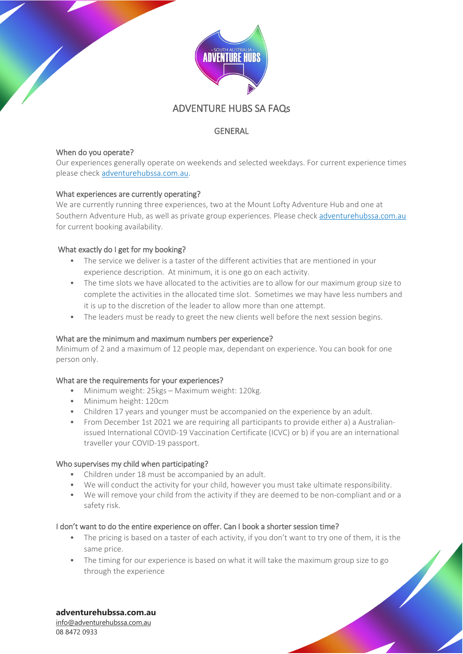

# ADVENTURE HUBS SA FAQs

# **GENERAL**

### When do you operate?

Our experiences generally operate on weekends and selected weekdays. For current experience times please check [adventurehubssa.com.au.](https://adventurehubssa.com.au/)

# What experiences are currently operating?

We are currently running three experiences, two at the Mount Lofty Adventure Hub and one at Southern Adventure Hub, as well as private group experiences. Please chec[k adventurehubssa.com.au](https://adventurehubssa.com.au/) for current booking availability.

# What exactly do I get for my booking?

- The service we deliver is a taster of the different activities that are mentioned in your experience description. At minimum, it is one go on each activity.
- The time slots we have allocated to the activities are to allow for our maximum group size to complete the activities in the allocated time slot. Sometimes we may have less numbers and it is up to the discretion of the leader to allow more than one attempt.
- The leaders must be ready to greet the new clients well before the next session begins.

### What are the minimum and maximum numbers per experience?

Minimum of 2 and a maximum of 12 people max, dependant on experience. You can book for one person only.

### What are the requirements for your experiences?

- Minimum weight: 25kgs Maximum weight: 120kg.
- Minimum height: 120cm
- Children 17 years and younger must be accompanied on the experience by an adult.
- From December 1st 2021 we are requiring all participants to provide either a) a Australianissued International COVID-19 Vaccination Certificate (ICVC) or b) if you are an international traveller your COVID-19 passport.

### Who supervises my child when participating?

- Children under 18 must be accompanied by an adult.
- We will conduct the activity for your child, however you must take ultimate responsibility.
- We will remove your child from the activity if they are deemed to be non-compliant and or a safety risk.

### I don't want to do the entire experience on offer. Can I book a shorter session time?

- The pricing is based on a taster of each activity, if you don't want to try one of them, it is the same price.
- The timing for our experience is based on what it will take the maximum group size to go through the experience

# **adventurehubssa.com.au**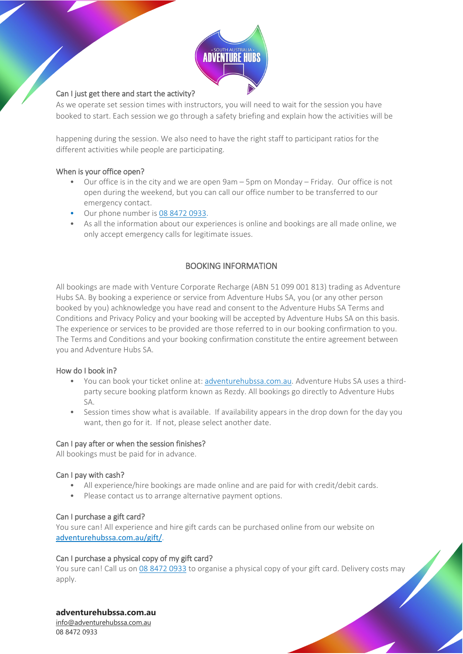

### Can I just get there and start the activity?

As we operate set session times with instructors, you will need to wait for the session you have booked to start. Each session we go through a safety briefing and explain how the activities will be

happening during the session. We also need to have the right staff to participant ratios for the different activities while people are participating.

### When is your office open?

- Our office is in the city and we are open 9am 5pm on Monday Friday. Our office is not open during the weekend, but you can call our office number to be transferred to our emergency contact.
- Our phone number i[s 08 8472 0933.](tel:0884720933)
- As all the information about our experiences is online and bookings are all made online, we only accept emergency calls for legitimate issues.

# BOOKING INFORMATION

All bookings are made with Venture Corporate Recharge (ABN 51 099 001 813) trading as Adventure Hubs SA. By booking a experience or service from Adventure Hubs SA, you (or any other person booked by you) achknowledge you have read and consent to the Adventure Hubs SA Terms and Conditions and Privacy Policy and your booking will be accepted by Adventure Hubs SA on this basis. The experience or services to be provided are those referred to in our booking confirmation to you. The Terms and Conditions and your booking confirmation constitute the entire agreement between you and Adventure Hubs SA.

### How do I book in?

- You can book your ticket online at: [adventurehubssa.com.au.](https://adventurehubssa.com.au/) Adventure Hubs SA uses a thirdparty secure booking platform known as Rezdy. All bookings go directly to Adventure Hubs SA.
- Session times show what is available. If availability appears in the drop down for the day you want, then go for it. If not, please select another date.

### Can I pay after or when the session finishes?

All bookings must be paid for in advance.

### Can I pay with cash?

- All experience/hire bookings are made online and are paid for with credit/debit cards.
- Please contact us to arrange alternative payment options.

### Can I purchase a gift card?

You sure can! All experience and hire gift cards can be purchased online from our website on [adventurehubssa.com.au/gift/](https://adventurehubssa.com.au/gift/).

### Can I purchase a physical copy of my gift card?

You sure can! Call us on [08 8472 0933](tel:0884720933) to organise a physical copy of your gift card. Delivery costs may apply.

### **adventurehubssa.com.au**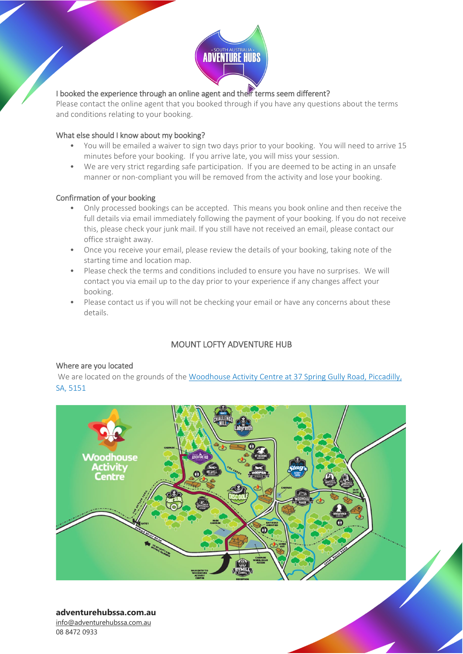

# I booked the experience through an online agent and then terms seem different?

Please contact the online agent that you booked through if you have any questions about the terms and conditions relating to your booking.

### What else should I know about my booking?

- You will be emailed a waiver to sign two days prior to your booking. You will need to arrive 15 minutes before your booking. If you arrive late, you will miss your session.
- We are very strict regarding safe participation. If you are deemed to be acting in an unsafe manner or non-compliant you will be removed from the activity and lose your booking.

### Confirmation of your booking

- Only processed bookings can be accepted. This means you book online and then receive the full details via email immediately following the payment of your booking. If you do not receive this, please check your junk mail. If you still have not received an email, please contact our office straight away.
- Once you receive your email, please review the details of your booking, taking note of the starting time and location map.
- Please check the terms and conditions included to ensure you have no surprises. We will contact you via email up to the day prior to your experience if any changes affect your booking.
- Please contact us if you will not be checking your email or have any concerns about these details.

# MOUNT LOFTY ADVENTURE HUB

### Where are you located

We are located on the grounds of the Woodhouse Activity Centre at 37 Spring Gully Road, Piccadilly, [SA, 5151](https://www.google.com.au/maps/place/Mount+Lofty+Adventure+Hub/@-34.9840293,138.7333359,17z/data=!3m1!4b1!4m5!3m4!1s0x6ab733509dbf9e47:0xccd253d118937c7b!8m2!3d-34.9840293!4d138.7355246)



### **adventurehubssa.com.au**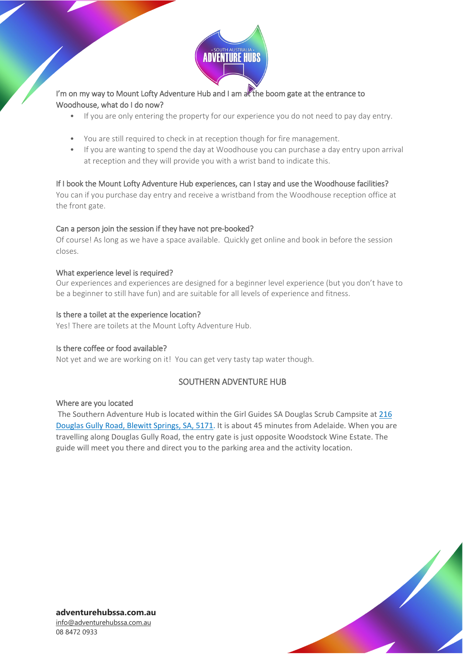

# I'm on my way to Mount Lofty Adventure Hub and I am  $\frac{1}{2}$  the boom gate at the entrance to Woodhouse, what do I do now?

- If you are only entering the property for our experience you do not need to pay day entry.
- You are still required to check in at reception though for fire management.
- If you are wanting to spend the day at Woodhouse you can purchase a day entry upon arrival at reception and they will provide you with a wrist band to indicate this.

### If I book the Mount Lofty Adventure Hub experiences, can I stay and use the Woodhouse facilities?

You can if you purchase day entry and receive a wristband from the Woodhouse reception office at the front gate.

### Can a person join the session if they have not pre-booked?

Of course! As long as we have a space available. Quickly get online and book in before the session closes.

### What experience level is required?

Our experiences and experiences are designed for a beginner level experience (but you don't have to be a beginner to still have fun) and are suitable for all levels of experience and fitness.

### Is there a toilet at the experience location?

Yes! There are toilets at the Mount Lofty Adventure Hub.

### Is there coffee or food available?

Not yet and we are working on it! You can get very tasty tap water though.

### SOUTHERN ADVENTURE HUB

### Where are you located

The Southern Adventure Hub is located within the Girl Guides SA Douglas Scrub Campsite a[t 216](https://www.google.com/maps/place/Southern+Adventure+Hub/@-35.1883376,138.5954597,17z/data=!3m1!4b1!4m5!3m4!1s0x6ab129ac7fffde35:0x10d515c727232484!8m2!3d-35.1843962!4d138.603737)  [Douglas Gully Road, Blewitt Springs, SA, 5171.](https://www.google.com/maps/place/Southern+Adventure+Hub/@-35.1883376,138.5954597,17z/data=!3m1!4b1!4m5!3m4!1s0x6ab129ac7fffde35:0x10d515c727232484!8m2!3d-35.1843962!4d138.603737) It is about 45 minutes from Adelaide. When you are travelling along Douglas Gully Road, the entry gate is just opposite Woodstock Wine Estate. The guide will meet you there and direct you to the parking area and the activity location.

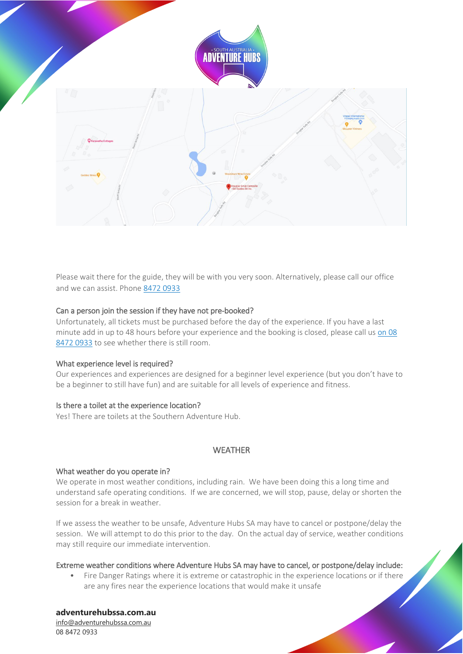

Please wait there for the guide, they will be with you very soon. Alternatively, please call our office and we can assist. Phon[e 8472 0933](tel:0884720933)

### Can a person join the session if they have not pre-booked?

Unfortunately, all tickets must be purchased before the day of the experience. If you have a last minute add in up to 48 hours before your experience and the booking is closed, please call us on [08](tel:0884720933)  [8472](tel:0884720933) 0933 to see whether there is still room.

#### What experience level is required?

Our experiences and experiences are designed for a beginner level experience (but you don't have to be a beginner to still have fun) and are suitable for all levels of experience and fitness.

#### Is there a toilet at the experience location?

Yes! There are toilets at the Southern Adventure Hub.

### **WFATHER**

#### What weather do you operate in?

We operate in most weather conditions, including rain. We have been doing this a long time and understand safe operating conditions. If we are concerned, we will stop, pause, delay or shorten the session for a break in weather.

If we assess the weather to be unsafe, Adventure Hubs SA may have to cancel or postpone/delay the session. We will attempt to do this prior to the day. On the actual day of service, weather conditions may still require our immediate intervention.

#### Extreme weather conditions where Adventure Hubs SA may have to cancel, or postpone/delay include:

• Fire Danger Ratings where it is extreme or catastrophic in the experience locations or if there are any fires near the experience locations that would make it unsafe

# **adventurehubssa.com.au**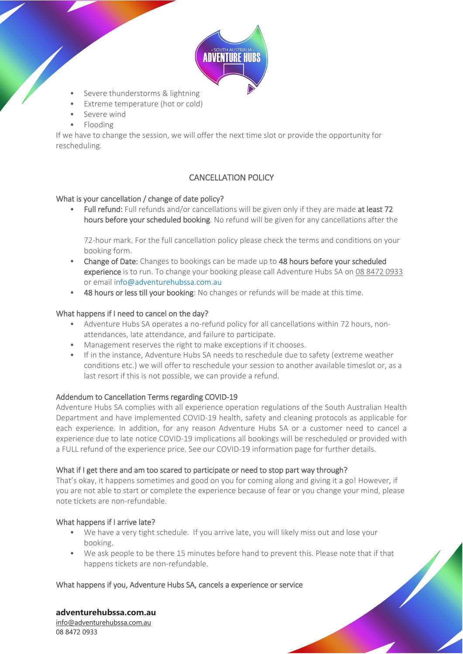

- Severe thunderstorms & lightning
- Extreme temperature (hot or cold)
- Severe wind
- Flooding

If we have to change the session, we will offer the next time slot or provide the opportunity for rescheduling.

# CANCELLATION POLICY

### What is your cancellation / change of date policy?

Full refund: Full refunds and/or cancellations will be given only if they are made at least 72 hours before your scheduled booking. No refund will be given for any cancellations after the

72-hour mark. For the full cancellation policy please check the terms and conditions on your booking form.

- Change of Date: Changes to bookings can be made up to 48 hours before your scheduled experience is to run. To change your booking please call Adventure Hubs SA on [08 8472 0933](tel:0884720933) or email info@adventurehubssa.com.au
- 48 hours or less till your booking: No changes or refunds will be made at this time.

### What happens if I need to cancel on the day?

- Adventure Hubs SA operates a no-refund policy for all cancellations within 72 hours, nonattendances, late attendance, and failure to participate.
- Management reserves the right to make exceptions if it chooses.
- If in the instance, Adventure Hubs SA needs to reschedule due to safety (extreme weather conditions etc.) we will offer to reschedule your session to another available timeslot or, as a last resort if this is not possible, we can provide a refund.

### Addendum to Cancellation Terms regarding COVID-19

Adventure Hubs SA complies with all experience operation regulations of the South Australian Health Department and have implemented COVID-19 health, safety and cleaning protocols as applicable for each experience. In addition, for any reason Adventure Hubs SA or a customer need to cancel a experience due to late notice COVID-19 implications all bookings will be rescheduled or provided with a FULL refund of the experience price. See our COVID-19 information page for further details.

### What if I get there and am too scared to participate or need to stop part way through?

That's okay, it happens sometimes and good on you for coming along and giving it a go! However, if you are not able to start or complete the experience because of fear or you change your mind, please note tickets are non-refundable.

### What happens if I arrive late?

- We have a very tight schedule. If you arrive late, you will likely miss out and lose your booking.
- We ask people to be there 15 minutes before hand to prevent this. Please note that if that happens tickets are non-refundable.

### What happens if you, Adventure Hubs SA, cancels a experience or service

### **adventurehubssa.com.au**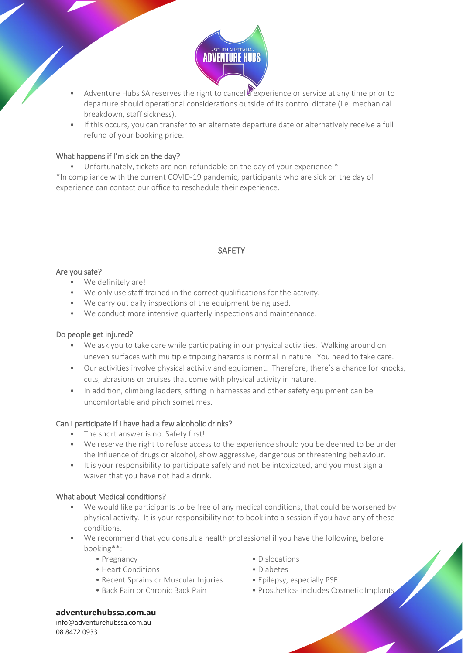

- Adventure Hubs SA reserves the right to cancel a experience or service at any time prior to departure should operational considerations outside of its control dictate (i.e. mechanical breakdown, staff sickness).
- If this occurs, you can transfer to an alternate departure date or alternatively receive a full refund of your booking price.

### What happens if I'm sick on the day?

• Unfortunately, tickets are non-refundable on the day of your experience.\* \*In compliance with the current COVID-19 pandemic, participants who are sick on the day of experience can contact our office to reschedule their experience.

# SAFETY

### Are you safe?

- We definitely are!
- We only use staff trained in the correct qualifications for the activity.
- We carry out daily inspections of the equipment being used.
- We conduct more intensive quarterly inspections and maintenance.

### Do people get injured?

- We ask you to take care while participating in our physical activities. Walking around on uneven surfaces with multiple tripping hazards is normal in nature. You need to take care.
- Our activities involve physical activity and equipment. Therefore, there's a chance for knocks, cuts, abrasions or bruises that come with physical activity in nature.
- In addition, climbing ladders, sitting in harnesses and other safety equipment can be uncomfortable and pinch sometimes.

### Can I participate if I have had a few alcoholic drinks?

- The short answer is no. Safety first!
- We reserve the right to refuse access to the experience should you be deemed to be under the influence of drugs or alcohol, show aggressive, dangerous or threatening behaviour.
- It is your responsibility to participate safely and not be intoxicated, and you must sign a waiver that you have not had a drink.

### What about Medical conditions?

- We would like participants to be free of any medical conditions, that could be worsened by physical activity. It is your responsibility not to book into a session if you have any of these conditions.
- We recommend that you consult a health professional if you have the following, before booking\*\*:
	-
	- Heart Conditions Diabetes
	- Recent Sprains or Muscular Injuries Epilepsy, especially PSE.
	-
	- Pregnancy  **Pregnancy Dislocations** 
		-
		-
	- Back Pain or Chronic Back Pain Prosthetics- includes Cosmetic Implants

### **adventurehubssa.com.au**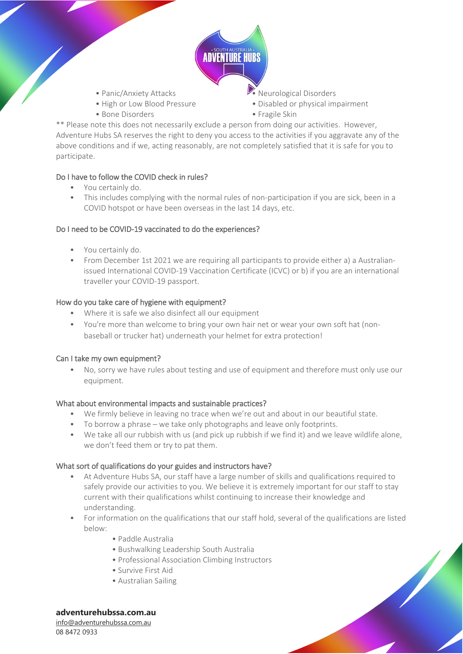

- 
- 
- Bone Disorders Fragile Skin
- Panic/Anxiety Attacks Neurological Disorders
- High or Low Blood Pressure Disabled or physical impairment
	-

\*\* Please note this does not necessarily exclude a person from doing our activities. However, Adventure Hubs SA reserves the right to deny you access to the activities if you aggravate any of the above conditions and if we, acting reasonably, are not completely satisfied that it is safe for you to participate.

# Do I have to follow the COVID check in rules?

- You certainly do.
- This includes complying with the normal rules of non-participation if you are sick, been in a COVID hotspot or have been overseas in the last 14 days, etc.

### Do I need to be COVID-19 vaccinated to do the experiences?

- You certainly do.
- From December 1st 2021 we are requiring all participants to provide either a) a Australianissued International COVID-19 Vaccination Certificate (ICVC) or b) if you are an international traveller your COVID-19 passport.

# How do you take care of hygiene with equipment?

- Where it is safe we also disinfect all our equipment
- You're more than welcome to bring your own hair net or wear your own soft hat (nonbaseball or trucker hat) underneath your helmet for extra protection!

### Can I take my own equipment?

• No, sorry we have rules about testing and use of equipment and therefore must only use our equipment.

### What about environmental impacts and sustainable practices?

- We firmly believe in leaving no trace when we're out and about in our beautiful state.
- To borrow a phrase we take only photographs and leave only footprints.
- We take all our rubbish with us (and pick up rubbish if we find it) and we leave wildlife alone, we don't feed them or try to pat them.

### What sort of qualifications do your guides and instructors have?

- At Adventure Hubs SA, our staff have a large number of skills and qualifications required to safely provide our activities to you. We believe it is extremely important for our staff to stay current with their qualifications whilst continuing to increase their knowledge and understanding.
- For information on the qualifications that our staff hold, several of the qualifications are listed below:
	- Paddle Australia
	- Bushwalking Leadership South Australia
	- Professional Association Climbing Instructors
	- Survive First Aid
	- Australian Sailing

**adventurehubssa.com.au**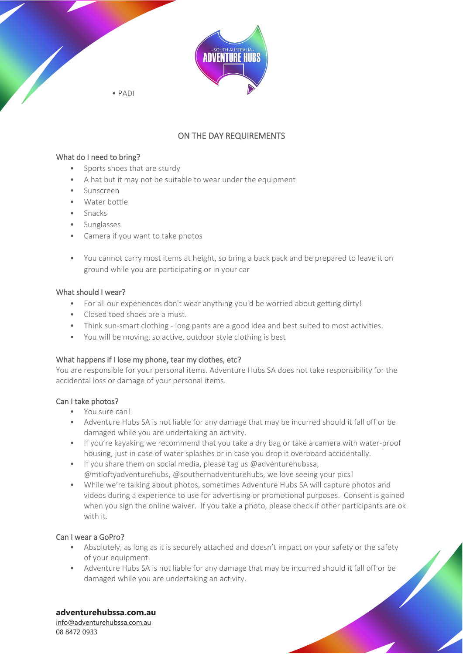

• PADI

# ON THE DAY REQUIREMENTS

### What do I need to bring?

- Sports shoes that are sturdy
- A hat but it may not be suitable to wear under the equipment
- Sunscreen
- Water bottle
- Snacks
- Sunglasses
- Camera if you want to take photos
- You cannot carry most items at height, so bring a back pack and be prepared to leave it on ground while you are participating or in your car

### What should I wear?

- For all our experiences don't wear anything you'd be worried about getting dirty!
- Closed toed shoes are a must.
- Think sun-smart clothing long pants are a good idea and best suited to most activities.
- You will be moving, so active, outdoor style clothing is best

### What happens if I lose my phone, tear my clothes, etc?

You are responsible for your personal items. Adventure Hubs SA does not take responsibility for the accidental loss or damage of your personal items.

### Can I take photos?

- You sure can!
- Adventure Hubs SA is not liable for any damage that may be incurred should it fall off or be damaged while you are undertaking an activity.
- If you're kayaking we recommend that you take a dry bag or take a camera with water-proof housing, just in case of water splashes or in case you drop it overboard accidentally.
- If you share them on social media, please tag us @adventurehubssa. @mtloftyadventurehubs, @southernadventurehubs, we love seeing your pics!
- While we're talking about photos, sometimes Adventure Hubs SA will capture photos and videos during a experience to use for advertising or promotional purposes. Consent is gained when you sign the online waiver. If you take a photo, please check if other participants are ok with it.

# Can I wear a GoPro?

- Absolutely, as long as it is securely attached and doesn't impact on your safety or the safety of your equipment.
- Adventure Hubs SA is not liable for any damage that may be incurred should it fall off or be damaged while you are undertaking an activity.

### **adventurehubssa.com.au**